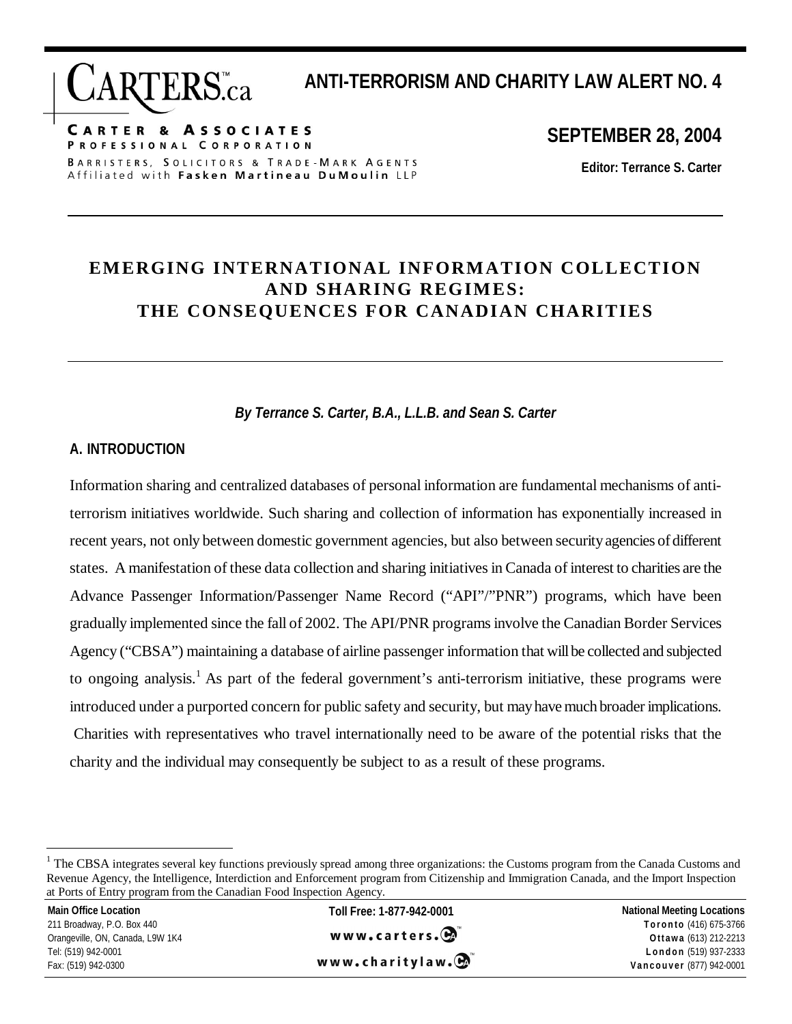**ANTI-TERRORISM AND CHARITY LAW ALERT NO. 4** 

**CARTER & ASSOCIATES** PROFESSIONAL CORPORATION BARRISTERS, SOLICITORS & TRADE-MARK AGENTS Affiliated with Fasken Martineau DuMoulin LLP

**RTERS**.ca

**SEPTEMBER 28, 2004** 

**Editor: Terrance S. Carter** 

# **EMERGING INTERNATIONAL INFORMATION COLLECTION AND SHARING REGIMES: THE CONSEQUENCES FOR CANADIAN CHARITIES**

*By Terrance S. Carter, B.A., L.L.B. and Sean S. Carter* 

### **A. INTRODUCTION**

Information sharing and centralized databases of personal information are fundamental mechanisms of antiterrorism initiatives worldwide. Such sharing and collection of information has exponentially increased in recent years, not only between domestic government agencies, but also between security agencies of different states. A manifestation of these data collection and sharing initiatives in Canada of interest to charities are the Advance Passenger Information/Passenger Name Record ("API"/"PNR") programs, which have been gradually implemented since the fall of 2002. The API/PNR programs involve the Canadian Border Services Agency ("CBSA") maintaining a database of airline passenger information that will be collected and subjected to ongoing analysis.<sup>1</sup> As part of the federal government's anti-terrorism initiative, these programs were introduced under a purported concern for public safety and security, but may have much broader implications. Charities with representatives who travel internationally need to be aware of the potential risks that the charity and the individual may consequently be subject to as a result of these programs.

 $\overline{a}$ 

www.charitylaw.C

<sup>&</sup>lt;sup>1</sup> The CBSA integrates several key functions previously spread among three organizations: the Customs program from the Canada Customs and Revenue Agency, the Intelligence, Interdiction and Enforcement program from Citizenship and Immigration Canada, and the Import Inspection at Ports of Entry program from the Canadian Food Inspection Agency.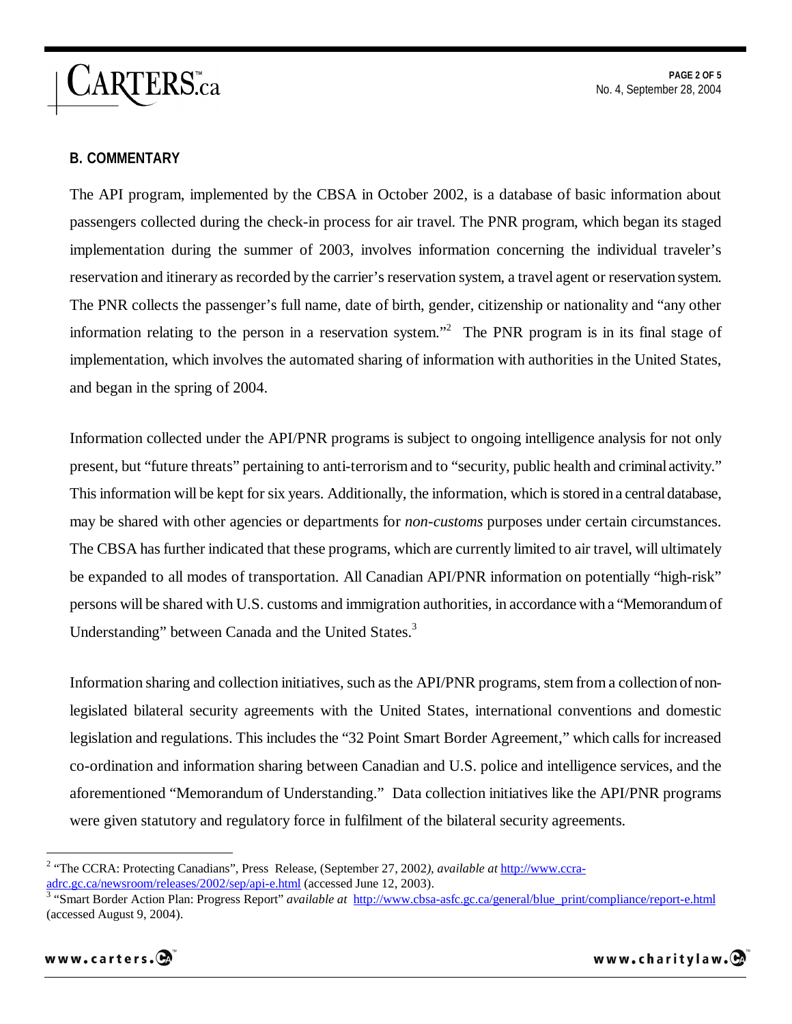ARTERS.ca

#### **B. COMMENTARY**

The API program, implemented by the CBSA in October 2002, is a database of basic information about passengers collected during the check-in process for air travel. The PNR program, which began its staged implementation during the summer of 2003, involves information concerning the individual traveler's reservation and itinerary as recorded by the carrier's reservation system, a travel agent or reservation system. The PNR collects the passenger's full name, date of birth, gender, citizenship or nationality and "any other information relating to the person in a reservation system."<sup>2</sup> The PNR program is in its final stage of implementation, which involves the automated sharing of information with authorities in the United States, and began in the spring of 2004.

Information collected under the API/PNR programs is subject to ongoing intelligence analysis for not only present, but "future threats" pertaining to anti-terrorism and to "security, public health and criminal activity." This information will be kept for six years. Additionally, the information, which is stored in a central database, may be shared with other agencies or departments for *non-customs* purposes under certain circumstances. The CBSA has further indicated that these programs, which are currently limited to air travel, will ultimately be expanded to all modes of transportation. All Canadian API/PNR information on potentially "high-risk" persons will be shared with U.S. customs and immigration authorities, in accordance with a "Memorandum of Understanding" between Canada and the United States.<sup>3</sup>

Information sharing and collection initiatives, such as the API/PNR programs, stem from a collection of nonlegislated bilateral security agreements with the United States, international conventions and domestic legislation and regulations. This includes the "32 Point Smart Border Agreement," which calls for increased co-ordination and information sharing between Canadian and U.S. police and intelligence services, and the aforementioned "Memorandum of Understanding." Data collection initiatives like the API/PNR programs were given statutory and regulatory force in fulfilment of the bilateral security agreements.

adrc.gc.ca/newsroom/releases/2002/sep/api-e.html (accessed June 12, 2003). 3 "Smart Border Action Plan: Progress Report" *available at* http://www.cbsa-asfc.gc.ca/general/blue\_print/compliance/report-e.html (accessed August 9, 2004).



 $\overline{a}$ 

<sup>&</sup>lt;sup>2</sup> "The CCRA: Protecting Canadians", Press Release, (September 27, 2002), *available at* http://www.ccra-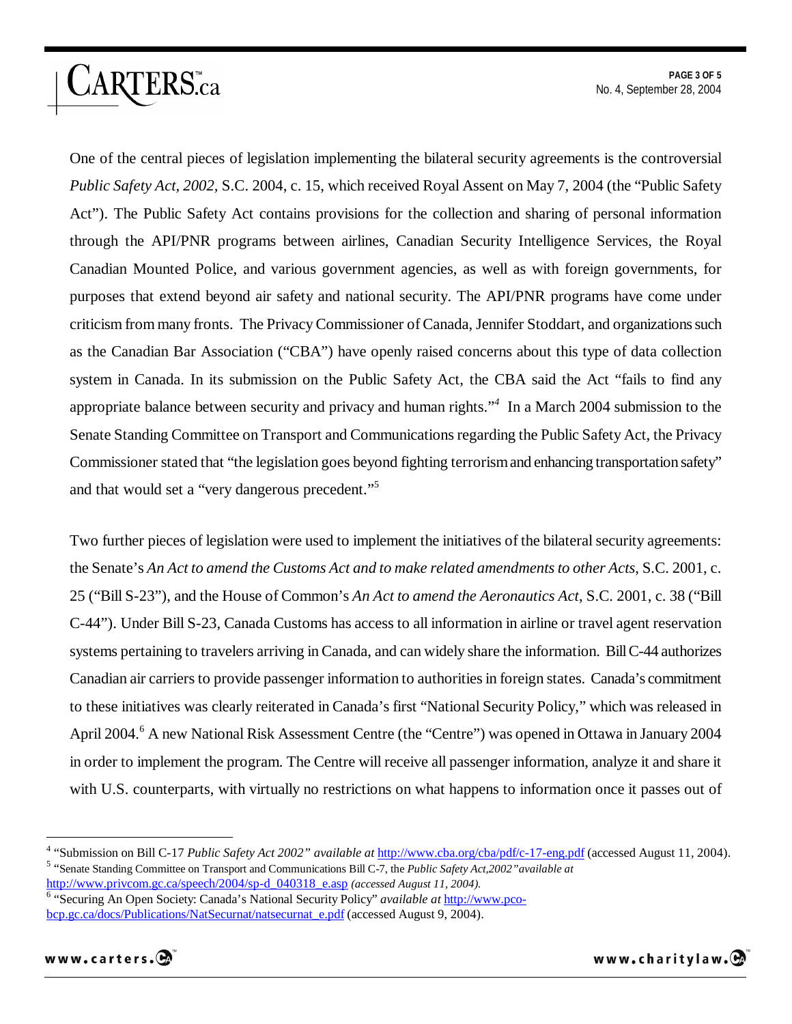**PAGE 3 OF 5**  No. 4, September 28, 2004

One of the central pieces of legislation implementing the bilateral security agreements is the controversial *Public Safety Act, 2002,* S.C. 2004, c. 15, which received Royal Assent on May 7, 2004 (the "Public Safety Act"). The Public Safety Act contains provisions for the collection and sharing of personal information through the API/PNR programs between airlines, Canadian Security Intelligence Services, the Royal Canadian Mounted Police, and various government agencies, as well as with foreign governments, for purposes that extend beyond air safety and national security. The API/PNR programs have come under criticism from many fronts. The Privacy Commissioner of Canada, Jennifer Stoddart, and organizations such as the Canadian Bar Association ("CBA") have openly raised concerns about this type of data collection system in Canada. In its submission on the Public Safety Act, the CBA said the Act "fails to find any appropriate balance between security and privacy and human rights."*<sup>4</sup>* In a March 2004 submission to the Senate Standing Committee on Transport and Communications regarding the Public Safety Act, the Privacy Commissioner stated that "the legislation goes beyond fighting terrorism and enhancing transportation safety" and that would set a "very dangerous precedent."<sup>5</sup>

Two further pieces of legislation were used to implement the initiatives of the bilateral security agreements: the Senate's *An Act to amend the Customs Act and to make related amendments to other Acts*, S.C. 2001, c. 25 ("Bill S-23"), and the House of Common's *An Act to amend the Aeronautics Act*, S.C. 2001, c. 38 ("Bill C-44"). Under Bill S-23, Canada Customs has access to all information in airline or travel agent reservation systems pertaining to travelers arriving in Canada, and can widely share the information. Bill C-44 authorizes Canadian air carriers to provide passenger information to authorities in foreign states. Canada's commitment to these initiatives was clearly reiterated in Canada's first "National Security Policy," which was released in April 2004.<sup>6</sup> A new National Risk Assessment Centre (the "Centre") was opened in Ottawa in January 2004 in order to implement the program. The Centre will receive all passenger information, analyze it and share it with U.S. counterparts, with virtually no restrictions on what happens to information once it passes out of

ARTERS.ca

 $\overline{a}$ 

<sup>&</sup>lt;sup>4</sup> "Submission on Bill C-17 *Public Safety Act 2002" available at* http://www.cba.org/cba/pdf/c-17-eng.pdf (accessed August 11, 2004). "Senate Standing Committee on Transport and Communications Bill C-7, the *Public Safety Act,2002"available at*  http://www.privcom.gc.ca/speech/2004/sp-d\_040318\_e.asp *(accessed August 11, 2004).*

<sup>&</sup>lt;sup>6</sup> "Securing An Open Society: Canada's National Security Policy" *available at* http://www.pcobcp.gc.ca/docs/Publications/NatSecurnat/natsecurnat\_e.pdf (accessed August 9, 2004).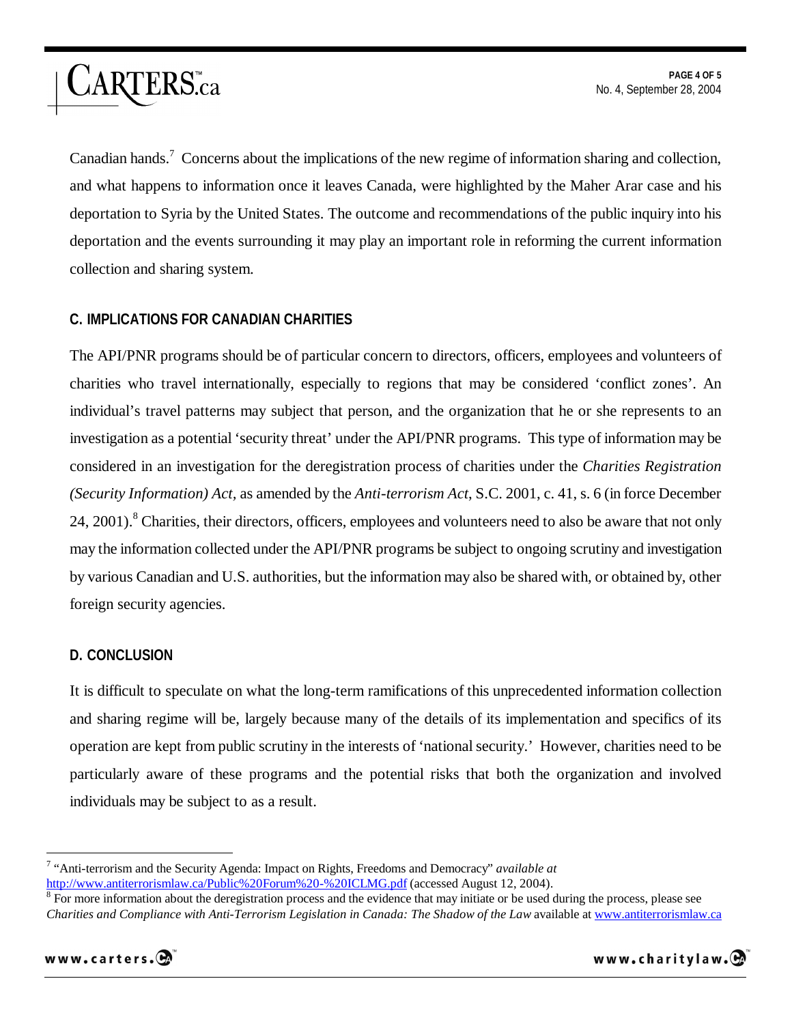Canadian hands.<sup>7</sup> Concerns about the implications of the new regime of information sharing and collection, and what happens to information once it leaves Canada, were highlighted by the Maher Arar case and his deportation to Syria by the United States. The outcome and recommendations of the public inquiry into his deportation and the events surrounding it may play an important role in reforming the current information collection and sharing system.

## **C. IMPLICATIONS FOR CANADIAN CHARITIES**

ARTERS.ca

The API/PNR programs should be of particular concern to directors, officers, employees and volunteers of charities who travel internationally, especially to regions that may be considered 'conflict zones'. An individual's travel patterns may subject that person, and the organization that he or she represents to an investigation as a potential 'security threat' under the API/PNR programs. This type of information may be considered in an investigation for the deregistration process of charities under the *Charities Registration (Security Information) Act,* as amended by the *Anti-terrorism Act*, S.C. 2001, c. 41, s. 6 (in force December 24, 2001).<sup>8</sup> Charities, their directors, officers, employees and volunteers need to also be aware that not only may the information collected under the API/PNR programs be subject to ongoing scrutiny and investigation by various Canadian and U.S. authorities, but the information may also be shared with, or obtained by, other foreign security agencies.

#### **D. CONCLUSION**

It is difficult to speculate on what the long-term ramifications of this unprecedented information collection and sharing regime will be, largely because many of the details of its implementation and specifics of its operation are kept from public scrutiny in the interests of 'national security.' However, charities need to be particularly aware of these programs and the potential risks that both the organization and involved individuals may be subject to as a result.

<sup>&</sup>lt;sup>8</sup> For more information about the deregistration process and the evidence that may initiate or be used during the process, please see *Charities and Compliance with Anti-Terrorism Legislation in Canada: The Shadow of the Law* available at www.antiterrorismlaw.ca



 $\overline{a}$ 

<sup>7</sup> "Anti-terrorism and the Security Agenda: Impact on Rights, Freedoms and Democracy" *available at*  http://www.antiterrorismlaw.ca/Public%20Forum%20-%20ICLMG.pdf (accessed August 12, 2004).